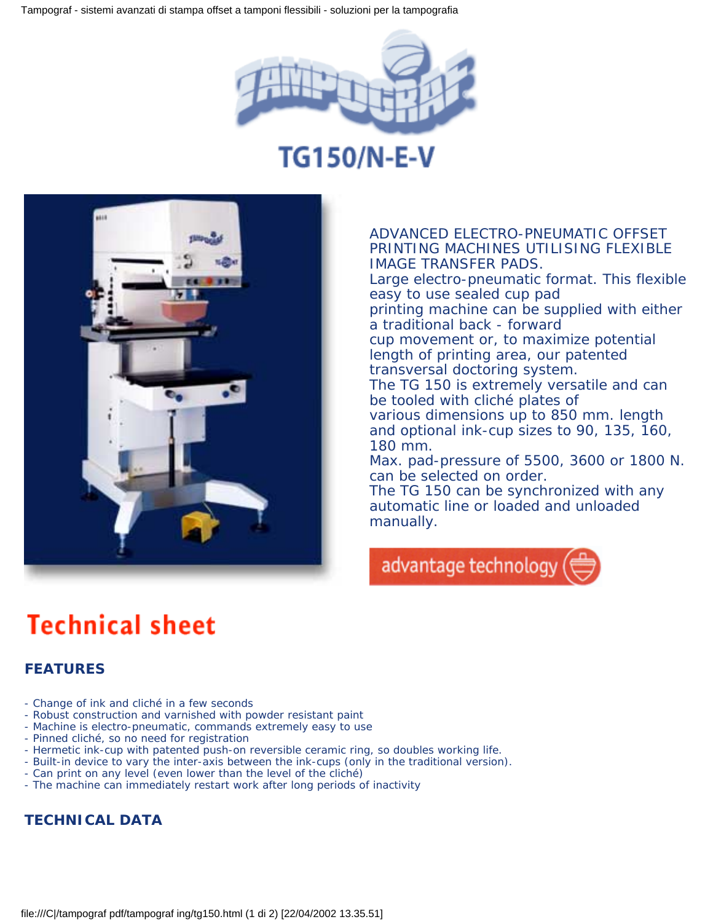

## **TG150/N-E-V**



ADVANCED ELECTRO-PNEUMATIC OFFSET PRINTING MACHINES UTILISING FLEXIBLE IMAGE TRANSFER PADS. Large electro-pneumatic format. This flexible easy to use sealed cup pad printing machine can be supplied with either a traditional back - forward cup movement or, to maximize potential length of printing area, our patented transversal doctoring system. The TG 150 is extremely versatile and can be tooled with cliché plates of various dimensions up to 850 mm. length and optional ink-cup sizes to 90, 135, 160, 180 mm. Max. pad-pressure of 5500, 3600 or 1800 N. can be selected on order. The TG 150 can be synchronized with any automatic line or loaded and unloaded manually.



# **Technical sheet**

#### **FEATURES**

- Change of ink and cliché in a few seconds
- Robust construction and varnished with powder resistant paint
- Machine is electro-pneumatic, commands extremely easy to use
- Pinned cliché, so no need for registration
- Hermetic ink-cup with patented push-on reversible ceramic ring, so doubles working life.
- Built-in device to vary the inter-axis between the ink-cups (only in the traditional version).
- Can print on any level (even lower than the level of the cliché)
- The machine can immediately restart work after long periods of inactivity

### **TECHNICAL DATA**